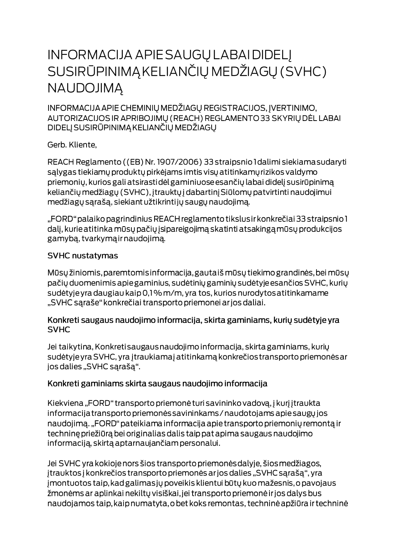# **INFORMACIJA APIE SAUGŲ LABAI DIDELĮ** SUSIRŪPINIMĄ KELIANČIŲ MEDŽIAGŲ (SVHC) **NAUDOJIMA**

INFORMACIJA APIE CHEMINIŲ MEDŽIAGŲ REGISTRACIJOS, ĮVERTINIMO, AUTORIZACIJOS IR APRIBOJIMŲ (REACH) REGLAMENTO 33 SKYRIŲ DĖL LABAI DIDELJ SUSIRŪPINIMĄ KELIANČIŲ MEDŽIAGŲ

Gerb. Kliente,

REACH Reglamento ((EB) Nr. 1907/2006) 33 straipsnio I dalimi siekiama sudaryti salygas tiekiamų produktų pirkėjams imtis visų atitinkamų rizikos valdymo priemonių, kurios gali atsirastidėl gaminiuose esančių labai didelį susirūpinimą keliančių medžiagų (SVHC), įtrauktų į dabartinį Siūlomų patvirtinti naudojimui medžiagų sąrašą, siekiant užtikrintijų saugų naudojimą.

"FORD" palaiko pagrindinius REACH reglamento tikslus ir konkrečiai 33 straipsnio 1 dalį, kurie atitinka mūsų pačių įsipareigojimą skatinti atsakingą mūsų produkcijos gamybą, tvarkymą ir naudojimą.

#### **SVHC nustatymas**

Mūsų žiniomis, paremtomis informacija, gautaiš mūsų tiekimo grandinės, bei mūsų pačių duomenimis apie gaminius, sudėtinių gaminių sudėtyje esančios SVHC, kurių sudėtyje yra daugiau kaip 0,1% m/m, yra tos, kurios nurodytos atitinkamame "SVHC sąraše" konkrečiai transporto priemonei ar jos daliai.

#### Konkreti saugaus naudojimo informacija, skirta gaminiams, kurių sudėtyje yra **SVHC**

Jei taikytina, Konkreti saugaus naudojimo informacija, skirta gaminiams, kurių sudėtyje yra SVHC, yra įtraukiamaj atitinkamą konkrečios transporto priemonės ar jos dalies "SVHC sąrašą".

### Konkreti gaminiams skirta saugaus naudojimo informacija

Kiekviena "FORD" transporto priemonė turi savininko vadovą, į kurį įtraukta informacija transporto priemonės savininkams / naudotojams apie saugų jos naudojimą. "FORD" pateikiama informacija apie transporto priemonių remontą ir techninę priežiūrą bei originalias dalis taip pat apima saugaus naudojimo informaciją, skirtą aptarnaujančiam personalui.

Jei SVHC yra kokioje nors šios transporto priemonės dalyje, šios medžiagos, įtrauktos į konkrečios transporto priemonės ar jos dalies "SVHC sąrašą", yra jmontuotos taip, kad galimas jų poveikis klientui būtų kuo mažesnis, o pavojaus žmonėms ar aplinkai nekiltų visiškai, jei transporto priemonė ir jos dalys bus naudojamos taip, kaip numatyta, o bet koks remontas, techninė apžiūra ir techninė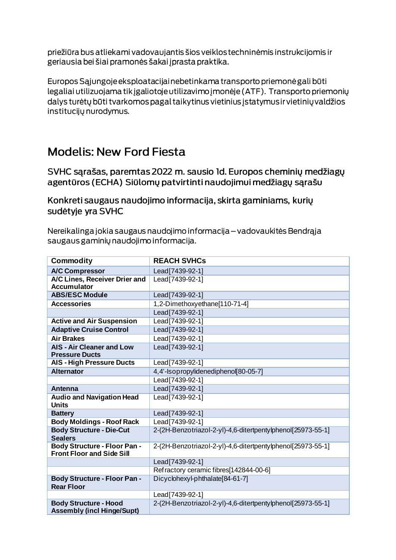priežiūra bus atliekami vadovaujantis šios veiklos techninėmis instrukcijomis ir geriausia bei šiai pramonės šakai į prasta praktika.

Europos Sąjungoje eksploatacijai nebetinkama transporto priemonė gali būti legaliai utilizuojama tik įgaliotoje utilizavimo įmonėje (ATF). Transporto priemonių dalys turėtų būti tvarkomos pagal taikytinus vietinius įstatymus ir vietinių valdžios institucijų nurodymus.

## **Modelis: New Ford Fiesta**

SVHC sarašas, paremtas 2022 m. sausio Id. Europos cheminių medžiagų agentūros (ECHA) Siūlomų patvirtinti naudojimui medžiagų sąrašu

Konkreti saugaus naudojimo informacija, skirta gaminiams, kurių sudėtyje yra SVHC

Nereikalinga jokia saugaus naudojimo informacija – vadovaukitės Bendrąja saugaus gaminių naudojimo informacija.

| <b>Commodity</b>                                                        | <b>REACH SVHCs</b>                                          |
|-------------------------------------------------------------------------|-------------------------------------------------------------|
| <b>A/C Compressor</b>                                                   | Lead[7439-92-1]                                             |
| A/C Lines, Receiver Drier and<br><b>Accumulator</b>                     | Lead[7439-92-1]                                             |
| <b>ABS/ESC Module</b>                                                   | Lead[7439-92-1]                                             |
| <b>Accessories</b>                                                      | 1,2-Dimethoxyethane[110-71-4]                               |
|                                                                         | Lead[7439-92-1]                                             |
| <b>Active and Air Suspension</b>                                        | Lead[7439-92-1]                                             |
| <b>Adaptive Cruise Control</b>                                          | Lead [7439-92-1]                                            |
| <b>Air Brakes</b>                                                       | Lead[7439-92-1]                                             |
| <b>AIS - Air Cleaner and Low</b><br><b>Pressure Ducts</b>               | Lead[7439-92-1]                                             |
| <b>AIS - High Pressure Ducts</b>                                        | Lead[7439-92-1]                                             |
| <b>Alternator</b>                                                       | 4,4'-Isopropylidenediphenol[80-05-7]                        |
|                                                                         | Lead[7439-92-1]                                             |
| Antenna                                                                 | Lead[7439-92-1]                                             |
| <b>Audio and Navigation Head</b><br><b>Units</b>                        | Lead [7439-92-1]                                            |
| <b>Battery</b>                                                          | Lead[7439-92-1]                                             |
| <b>Body Moldings - Roof Rack</b>                                        | Lead[7439-92-1]                                             |
| <b>Body Structure - Die-Cut</b><br><b>Sealers</b>                       | 2-(2H-Benzotriazol-2-yl)-4,6-ditertpentylphenol[25973-55-1] |
| <b>Body Structure - Floor Pan -</b><br><b>Front Floor and Side Sill</b> | 2-(2H-Benzotriazol-2-yl)-4,6-ditertpentylphenol[25973-55-1] |
|                                                                         | Lead[7439-92-1]                                             |
|                                                                         | Refractory ceramic fibres[142844-00-6]                      |
| <b>Body Structure - Floor Pan -</b><br><b>Rear Floor</b>                | Dicyclohexyl-phthalate[84-61-7]                             |
|                                                                         | Lead[7439-92-1]                                             |
| <b>Body Structure - Hood</b><br><b>Assembly (incl Hinge/Supt)</b>       | 2-(2H-Benzotriazol-2-yl)-4,6-ditertpentylphenol[25973-55-1] |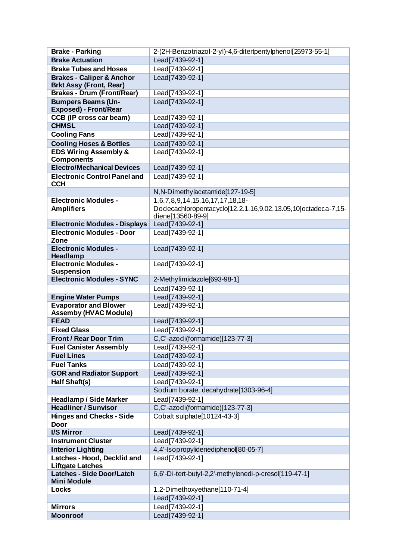| <b>Brake - Parking</b>                                       | 2-(2H-Benzotriazol-2-yl)-4,6-ditertpentylphenol[25973-55-1]   |
|--------------------------------------------------------------|---------------------------------------------------------------|
| <b>Brake Actuation</b>                                       | Lead[7439-92-1]                                               |
| <b>Brake Tubes and Hoses</b>                                 | Lead[7439-92-1]                                               |
| <b>Brakes - Caliper &amp; Anchor</b>                         | Lead[7439-92-1]                                               |
| <b>Brkt Assy (Front, Rear)</b>                               |                                                               |
| <b>Brakes - Drum (Front/Rear)</b>                            | Lead[7439-92-1]                                               |
| <b>Bumpers Beams (Un-</b>                                    | Lead[7439-92-1]                                               |
| <b>Exposed) - Front/Rear</b>                                 |                                                               |
| CCB (IP cross car beam)                                      | Lead[7439-92-1]                                               |
| <b>CHMSL</b>                                                 | Lead[7439-92-1]                                               |
| <b>Cooling Fans</b>                                          | Lead[7439-92-1]                                               |
| <b>Cooling Hoses &amp; Bottles</b>                           | Lead[7439-92-1]                                               |
| <b>EDS Wiring Assembly &amp;</b>                             | Lead[7439-92-1]                                               |
| <b>Components</b>                                            |                                                               |
| <b>Electro/Mechanical Devices</b>                            | Lead[7439-92-1]                                               |
| <b>Electronic Control Panel and</b><br><b>CCH</b>            | Lead[7439-92-1]                                               |
|                                                              | N, N-Dimethylacetamide[127-19-5]                              |
| <b>Electronic Modules -</b>                                  | 1,6,7,8,9,14,15,16,17,17,18,18-                               |
| <b>Amplifiers</b>                                            | Dodecachloropentacyclo[12.2.1.16,9.02,13.05,10]octadeca-7,15- |
|                                                              | diene[13560-89-9]                                             |
| <b>Electronic Modules - Displays</b>                         | Lead[7439-92-1]                                               |
| <b>Electronic Modules - Door</b>                             | Lead[7439-92-1]                                               |
| Zone                                                         |                                                               |
| <b>Electronic Modules -</b>                                  | Lead[7439-92-1]                                               |
| Headlamp                                                     |                                                               |
| <b>Electronic Modules -</b><br><b>Suspension</b>             | Lead[7439-92-1]                                               |
| <b>Electronic Modules - SYNC</b>                             | 2-Methylimidazole[693-98-1]                                   |
|                                                              | Lead[7439-92-1]                                               |
| <b>Engine Water Pumps</b>                                    | Lead[7439-92-1]                                               |
| <b>Evaporator and Blower</b><br><b>Assemby (HVAC Module)</b> | Lead[7439-92-1]                                               |
| <b>FEAD</b>                                                  | Lead[7439-92-1]                                               |
| <b>Fixed Glass</b>                                           | Lead[7439-92-1]                                               |
| <b>Front / Rear Door Trim</b>                                | C,C'-azodi(formamide)[123-77-3]                               |
| <b>Fuel Canister Assembly</b>                                | Lead[7439-92-1]                                               |
| <b>Fuel Lines</b>                                            | Lead [7439-92-1]                                              |
| <b>Fuel Tanks</b>                                            | Lead[7439-92-1]                                               |
| <b>GOR and Radiator Support</b>                              | Lead[7439-92-1]                                               |
| Half Shaft(s)                                                | Lead [7439-92-1]                                              |
|                                                              | Sodium borate, decahydrate[1303-96-4]                         |
| <b>Headlamp / Side Marker</b>                                | Lead[7439-92-1]                                               |
| <b>Headliner / Sunvisor</b>                                  | C,C'-azodi(formamide)[123-77-3]                               |
| <b>Hinges and Checks - Side</b>                              | Cobalt sulphate[10124-43-3]                                   |
| <b>Door</b>                                                  |                                                               |
| <b>I/S Mirror</b>                                            | Lead[7439-92-1]                                               |
| <b>Instrument Cluster</b>                                    | Lead[7439-92-1]                                               |
| <b>Interior Lighting</b>                                     | 4,4'-Isopropylidenediphenol[80-05-7]                          |
| Latches - Hood, Decklid and                                  | Lead[7439-92-1]                                               |
| <b>Liftgate Latches</b>                                      |                                                               |
| <b>Latches - Side Door/Latch</b>                             | 6,6'-Di-tert-butyl-2,2'-methylenedi-p-cresol[119-47-1]        |
| <b>Mini Module</b>                                           |                                                               |
| Locks                                                        | 1,2-Dimethoxyethane[110-71-4]                                 |
|                                                              | Lead[7439-92-1]                                               |
| <b>Mirrors</b>                                               | Lead[7439-92-1]                                               |
| <b>Moonroof</b>                                              | Lead[7439-92-1]                                               |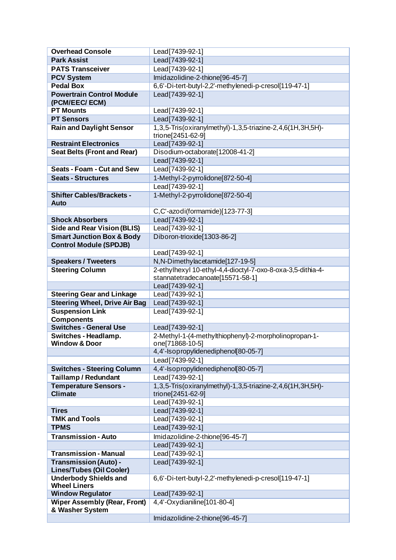| <b>Overhead Console</b>                                        | Lead[7439-92-1]                                                                 |
|----------------------------------------------------------------|---------------------------------------------------------------------------------|
| <b>Park Assist</b>                                             | Lead[7439-92-1]                                                                 |
| <b>PATS Transceiver</b>                                        | Lead[7439-92-1]                                                                 |
| <b>PCV System</b>                                              | Imidazolidine-2-thione[96-45-7]                                                 |
| <b>Pedal Box</b>                                               | 6,6'-Di-tert-butyl-2,2'-methylenedi-p-cresol[119-47-1]                          |
| <b>Powertrain Control Module</b><br>(PCM/EEC/ECM)              | Lead [7439-92-1]                                                                |
| <b>PT Mounts</b>                                               | Lead[7439-92-1]                                                                 |
| <b>PT Sensors</b>                                              | Lead[7439-92-1]                                                                 |
| <b>Rain and Daylight Sensor</b>                                | 1,3,5-Tris(oxiranylmethyl)-1,3,5-triazine-2,4,6(1H,3H,5H)-<br>trione[2451-62-9] |
| <b>Restraint Electronics</b>                                   | Lead[7439-92-1]                                                                 |
| <b>Seat Belts (Front and Rear)</b>                             | Disodium-octaborate[12008-41-2]                                                 |
|                                                                | Lead[7439-92-1]                                                                 |
| <b>Seats - Foam - Cut and Sew</b>                              | Lead [7439-92-1]                                                                |
| <b>Seats - Structures</b>                                      | 1-Methyl-2-pyrrolidone[872-50-4]                                                |
|                                                                | Lead[7439-92-1]                                                                 |
| <b>Shifter Cables/Brackets -</b><br><b>Auto</b>                | 1-Methyl-2-pyrrolidone[872-50-4]                                                |
|                                                                | C,C'-azodi(formamide)[123-77-3]                                                 |
| <b>Shock Absorbers</b>                                         | Lead[7439-92-1]                                                                 |
| <b>Side and Rear Vision (BLIS)</b>                             | Lead[7439-92-1]                                                                 |
| <b>Smart Junction Box &amp; Body</b>                           | Diboron-trioxide[1303-86-2]                                                     |
| <b>Control Module (SPDJB)</b>                                  |                                                                                 |
|                                                                | Lead[7439-92-1]                                                                 |
| <b>Speakers / Tweeters</b>                                     | N, N-Dimethylacetamide[127-19-5]                                                |
| <b>Steering Column</b>                                         | 2-ethylhexyl 10-ethyl-4,4-dioctyl-7-oxo-8-oxa-3,5-dithia-4-                     |
|                                                                | stannatetradecanoate[15571-58-1]                                                |
|                                                                | Lead[7439-92-1]                                                                 |
| <b>Steering Gear and Linkage</b>                               | Lead[7439-92-1]                                                                 |
| <b>Steering Wheel, Drive Air Bag</b><br><b>Suspension Link</b> | Lead[7439-92-1]                                                                 |
| <b>Components</b>                                              | Lead [7439-92-1]                                                                |
| <b>Switches - General Use</b>                                  | Lead[7439-92-1]                                                                 |
| Switches - Headlamp.                                           | 2-Methyl-1-(4-methylthiophenyl)-2-morpholinopropan-1-                           |
| <b>Window &amp; Door</b>                                       | one[71868-10-5]                                                                 |
|                                                                | 4,4'-Isopropylidenediphenol[80-05-7]                                            |
|                                                                | Lead[7439-92-1]                                                                 |
| <b>Switches - Steering Column</b>                              | 4,4'-Isopropylidenediphenol[80-05-7]                                            |
| <b>Taillamp / Redundant</b>                                    | Lead[7439-92-1]                                                                 |
| <b>Temperature Sensors -</b><br><b>Climate</b>                 | 1,3,5-Tris(oxiranylmethyl)-1,3,5-triazine-2,4,6(1H,3H,5H)-<br>trione[2451-62-9] |
|                                                                | Lead[7439-92-1]                                                                 |
| <b>Tires</b>                                                   | Lead[7439-92-1]                                                                 |
| <b>TMK and Tools</b>                                           | Lead[7439-92-1]                                                                 |
| <b>TPMS</b>                                                    | Lead[7439-92-1]                                                                 |
| <b>Transmission - Auto</b>                                     | Imidazolidine-2-thione[96-45-7]                                                 |
|                                                                | Lead[7439-92-1]                                                                 |
| <b>Transmission - Manual</b>                                   | Lead[7439-92-1]                                                                 |
| <b>Transmission (Auto) -</b>                                   | Lead[7439-92-1]                                                                 |
| <b>Lines/Tubes (Oil Cooler)</b>                                |                                                                                 |
| <b>Underbody Shields and</b><br><b>Wheel Liners</b>            | 6,6'-Di-tert-butyl-2,2'-methylenedi-p-cresol[119-47-1]                          |
| <b>Window Regulator</b>                                        | Lead[7439-92-1]                                                                 |
| <b>Wiper Assembly (Rear, Front)</b>                            | 4,4'-Oxydianiline[101-80-4]                                                     |
| & Washer System                                                |                                                                                 |
|                                                                | Imidazolidine-2-thione[96-45-7]                                                 |